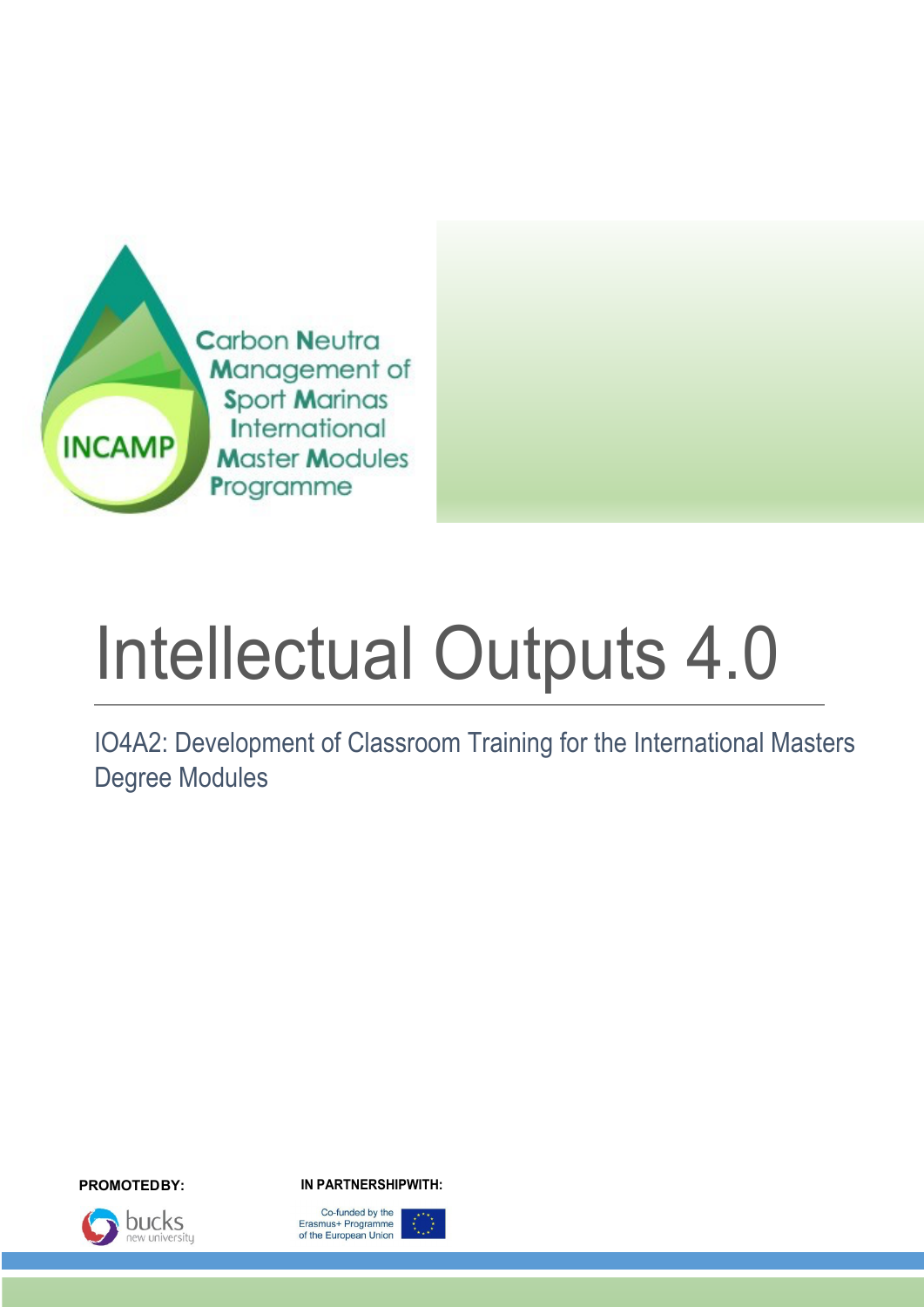

# Intellectual Outputs 4.0

IO4A2: Development of Classroom Training for the International Masters Degree Modules



**PROMOTEDBY: IN PARTNERSHIPWITH:**

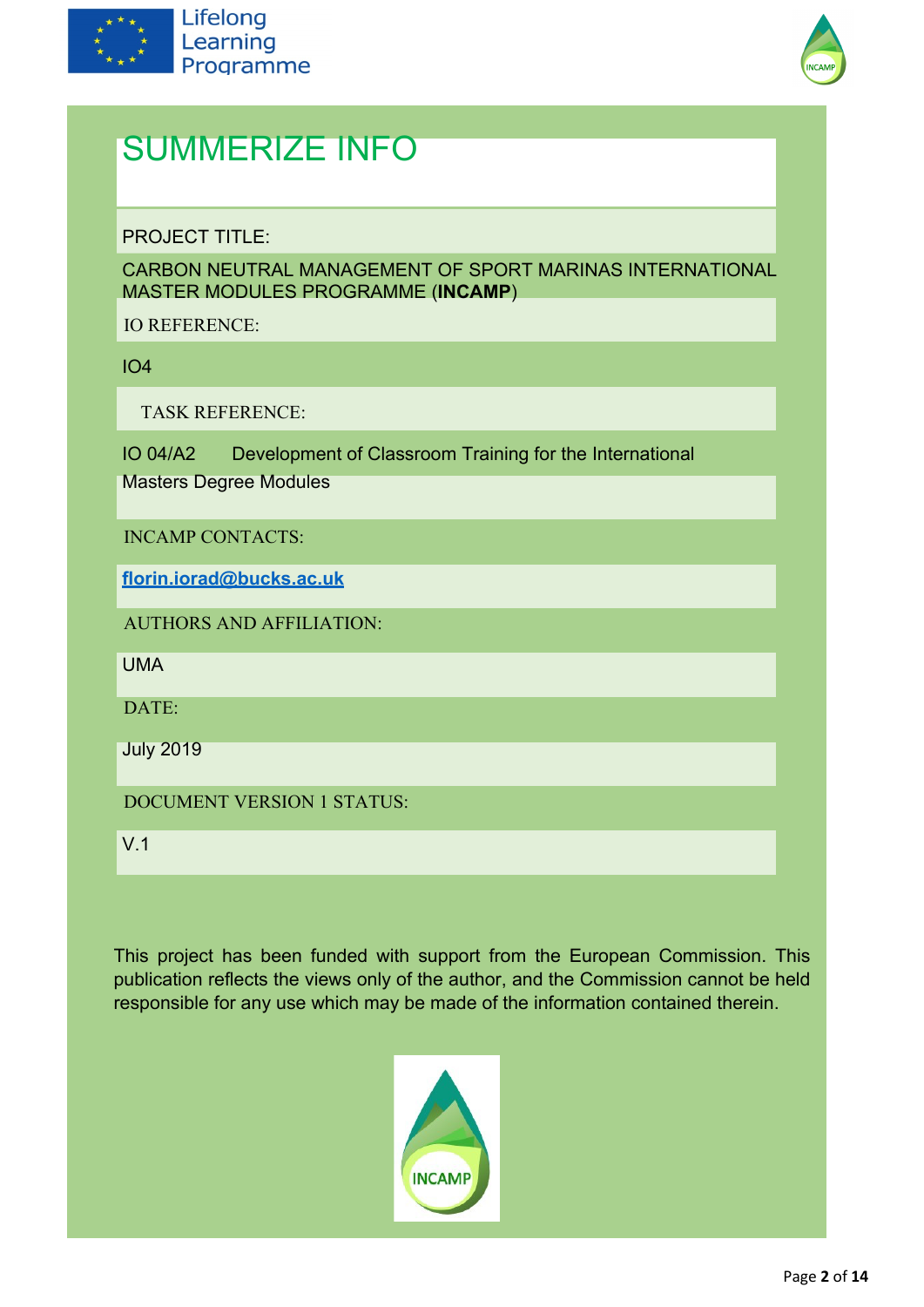



## SUMMERIZE INFO

PROJECT TITLE:

CARBON NEUTRAL MANAGEMENT OF SPORT MARINAS INTERNATIONAL MASTER MODULES PROGRAMME (**INCAMP**)

IO REFERENCE:

IO4

TASK REFERENCE:

IO 04/A2 Development of Classroom Training for the International

Masters Degree Modules

INCAMP CONTACTS:

**florin.iorad@bucks.ac.uk**

AUTHORS AND AFFILIATION:

UMA

 $DATE$ 

July 2019

DOCUMENT VERSION 1 STATUS:

V.1

This project has been funded with support from the European Commission. This publication reflects the views only of the author, and the Commission cannot be held responsible for any use which may be made of the information contained therein.

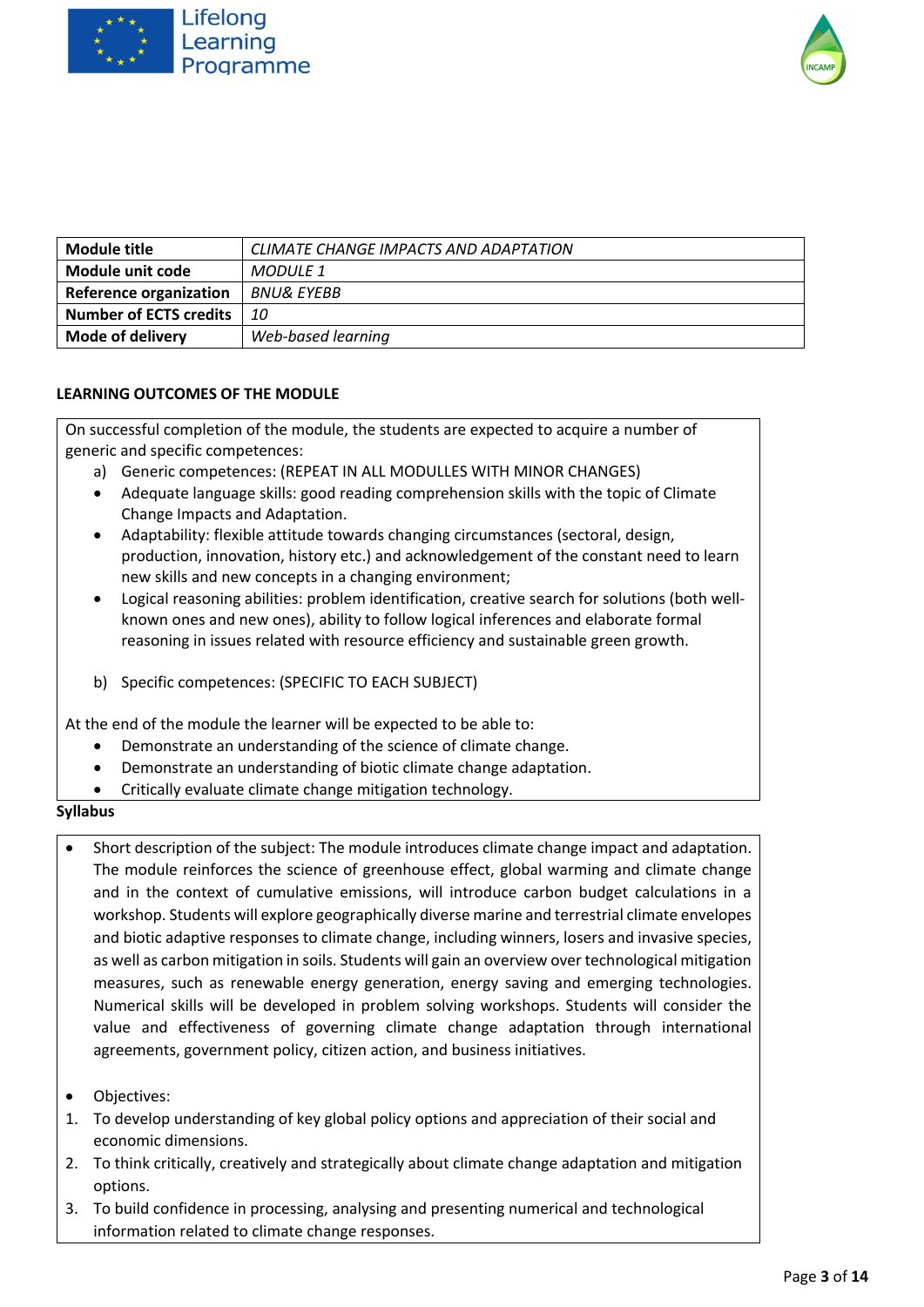



| Module title                  | CLIMATE CHANGE IMPACTS AND ADAPTATION |
|-------------------------------|---------------------------------------|
| Module unit code              | MODULE 1                              |
| <b>Reference organization</b> | BNU& EYEBB                            |
| <b>Number of ECTS credits</b> | 10                                    |
| <b>Mode of delivery</b>       | Web-based learning                    |

On successful completion of the module, the students are expected to acquire a number of generic and specific competences:

- a) Generic competences: (REPEAT IN ALL MODULLES WITH MINOR CHANGES)
- Adequate language skills: good reading comprehension skills with the topic of Climate Change Impacts and Adaptation.
- Adaptability: flexible attitude towards changing circumstances (sectoral, design, production, innovation, history etc.) and acknowledgement of the constant need to learn new skills and new concepts in a changing environment;
- Logical reasoning abilities: problem identification, creative search for solutions (both wellknown ones and new ones), ability to follow logical inferences and elaborate formal reasoning in issues related with resource efficiency and sustainable green growth.
- b) Specific competences: (SPECIFIC TO EACH SUBJECT)

At the end of the module the learner will be expected to be able to:

- Demonstrate an understanding of the science of climate change.
- Demonstrate an understanding of biotic climate change adaptation.
- Critically evaluate climate change mitigation technology.

- Short description of the subject: The module introduces climate change impact and adaptation. The module reinforces the science of greenhouse effect, global warming and climate change and in the context of cumulative emissions, will introduce carbon budget calculations in a workshop. Students will explore geographically diverse marine and terrestrial climate envelopes and biotic adaptive responses to climate change, including winners, losers and invasive species, as well as carbon mitigation in soils. Students will gain an overview over technological mitigation measures, such as renewable energy generation, energy saving and emerging technologies. Numerical skills will be developed in problem solving workshops. Students will consider the value and effectiveness of governing climate change adaptation through international agreements, government policy, citizen action, and business initiatives.
- Objectives:
- 1. To develop understanding of key global policy options and appreciation of their social and economic dimensions.
- 2. To think critically, creatively and strategically about climate change adaptation and mitigation options.
- 3. To build confidence in processing, analysing and presenting numerical and technological information related to climate change responses.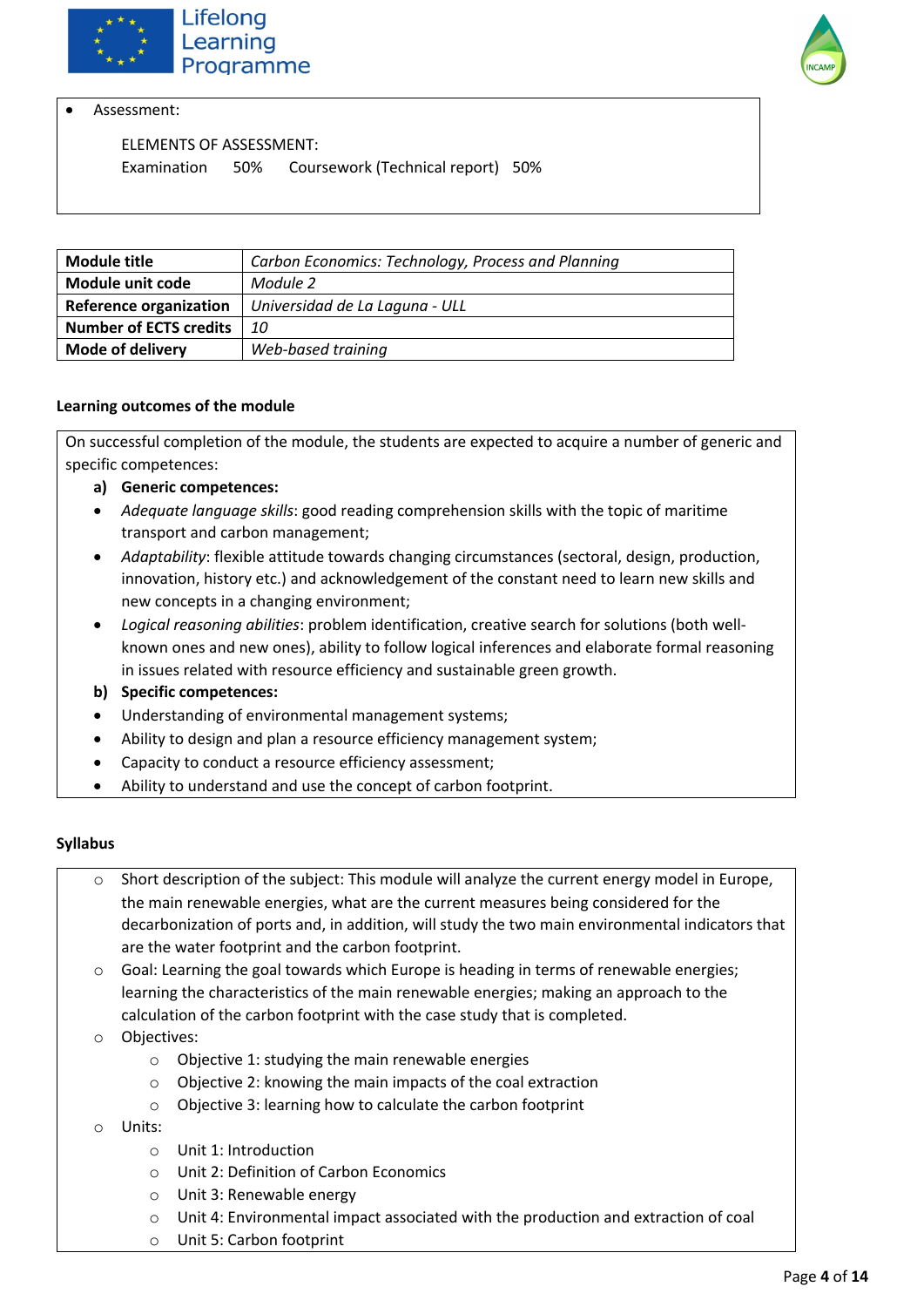



Assessment:

ELEMENTS OF ASSESSMENT:

Examination 50% Coursework (Technical report) 50%

| <b>Module title</b>           | Carbon Economics: Technology, Process and Planning |
|-------------------------------|----------------------------------------------------|
| Module unit code              | Module 2                                           |
| <b>Reference organization</b> | Universidad de La Laguna - ULL                     |
| <b>Number of ECTS credits</b> | <i>10</i>                                          |
| <b>Mode of delivery</b>       | Web-based training                                 |

#### **Learning outcomes of the module**

On successful completion of the module, the students are expected to acquire a number of generic and specific competences:

- **a) Generic competences:**
- *Adequate language skills*: good reading comprehension skills with the topic of maritime transport and carbon management;
- *Adaptability*: flexible attitude towards changing circumstances (sectoral, design, production, innovation, history etc.) and acknowledgement of the constant need to learn new skills and new concepts in a changing environment;
- *Logical reasoning abilities*: problem identification, creative search for solutions (both wellknown ones and new ones), ability to follow logical inferences and elaborate formal reasoning in issues related with resource efficiency and sustainable green growth.
- **b) Specific competences:**
- Understanding of environmental management systems;
- Ability to design and plan a resource efficiency management system;
- Capacity to conduct a resource efficiency assessment;
- Ability to understand and use the concept of carbon footprint.

- o Short description of the subject: This module will analyze the current energy model in Europe, the main renewable energies, what are the current measures being considered for the decarbonization of ports and, in addition, will study the two main environmental indicators that are the water footprint and the carbon footprint.
- $\circ$  Goal: Learning the goal towards which Europe is heading in terms of renewable energies; learning the characteristics of the main renewable energies; making an approach to the calculation of the carbon footprint with the case study that is completed.
- o Objectives:
	- o Objective 1: studying the main renewable energies
	- o Objective 2: knowing the main impacts of the coal extraction
	- o Objective 3: learning how to calculate the carbon footprint
- o Units:
	- o Unit 1: Introduction
	- o Unit 2: Definition of Carbon Economics
	- o Unit 3: Renewable energy
	- o Unit 4: Environmental impact associated with the production and extraction of coal
	- o Unit 5: Carbon footprint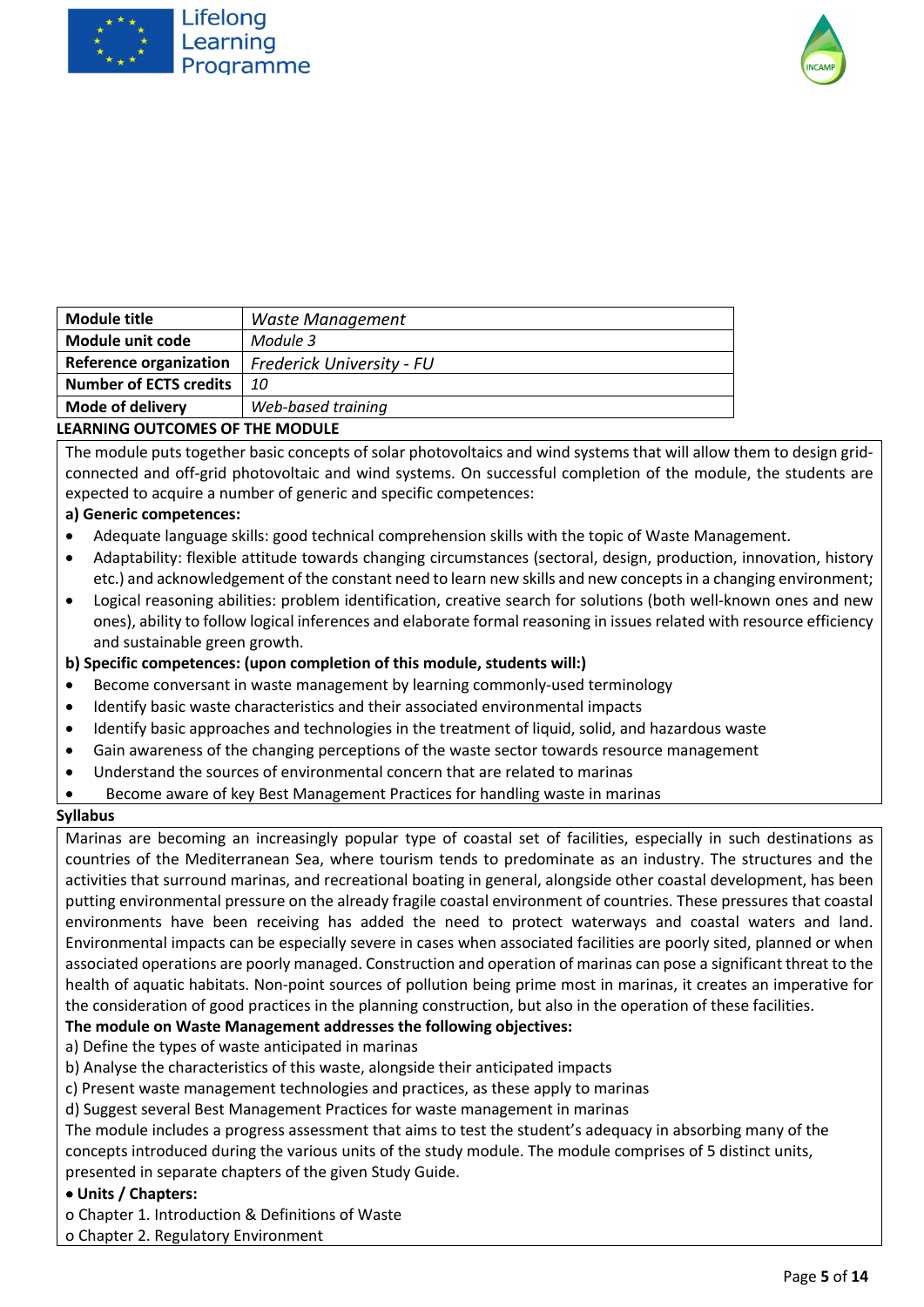



| Module title                  | Waste Management          |
|-------------------------------|---------------------------|
| Module unit code              | Module 3                  |
| <b>Reference organization</b> | Frederick University - FU |
| <b>Number of ECTS credits</b> | 10                        |
| <b>Mode of delivery</b>       | Web-based training        |
|                               |                           |

The module puts together basic concepts of solar photovoltaics and wind systems that will allow them to design gridconnected and off-grid photovoltaic and wind systems. On successful completion of the module, the students are expected to acquire a number of generic and specific competences:

#### **a) Generic competences:**

- Adequate language skills: good technical comprehension skills with the topic of Waste Management.
- Adaptability: flexible attitude towards changing circumstances (sectoral, design, production, innovation, history etc.) and acknowledgement of the constant need to learn new skills and new concepts in a changing environment;
- Logical reasoning abilities: problem identification, creative search for solutions (both well-known ones and new ones), ability to follow logical inferences and elaborate formal reasoning in issues related with resource efficiency and sustainable green growth.

#### **b) Specific competences: (upon completion of this module, students will:)**

- Become conversant in waste management by learning commonly-used terminology
- Identify basic waste characteristics and their associated environmental impacts
- Identify basic approaches and technologies in the treatment of liquid, solid, and hazardous waste
- Gain awareness of the changing perceptions of the waste sector towards resource management
- Understand the sources of environmental concern that are related to marinas
- Become aware of key Best Management Practices for handling waste in marinas

#### **Syllabus**

Marinas are becoming an increasingly popular type of coastal set of facilities, especially in such destinations as countries of the Mediterranean Sea, where tourism tends to predominate as an industry. The structures and the activities that surround marinas, and recreational boating in general, alongside other coastal development, has been putting environmental pressure on the already fragile coastal environment of countries. These pressures that coastal environments have been receiving has added the need to protect waterways and coastal waters and land. Environmental impacts can be especially severe in cases when associated facilities are poorly sited, planned or when associated operations are poorly managed. Construction and operation of marinas can pose a significant threat to the health of aquatic habitats. Non-point sources of pollution being prime most in marinas, it creates an imperative for the consideration of good practices in the planning construction, but also in the operation of these facilities.

#### **The module on Waste Management addresses the following objectives:**

a) Define the types of waste anticipated in marinas

- b) Analyse the characteristics of this waste, alongside their anticipated impacts
- c) Present waste management technologies and practices, as these apply to marinas
- d) Suggest several Best Management Practices for waste management in marinas

The module includes a progress assessment that aims to test the student's adequacy in absorbing many of the concepts introduced during the various units of the study module. The module comprises of 5 distinct units, presented in separate chapters of the given Study Guide.

#### • **Units / Chapters:**

o Chapter 1. Introduction & Definitions of Waste

o Chapter 2. Regulatory Environment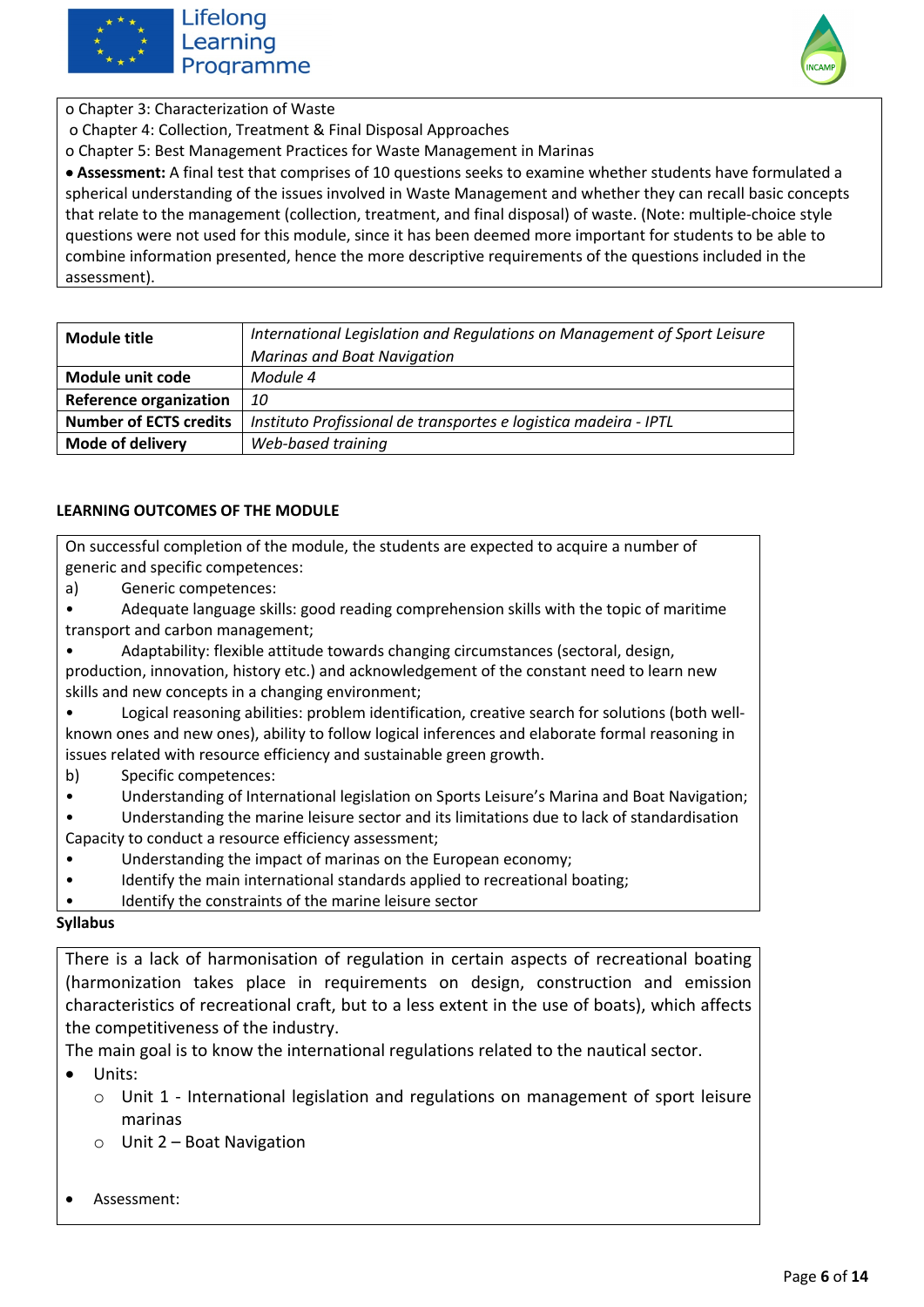



o Chapter 3: Characterization of Waste

o Chapter 4: Collection, Treatment & Final Disposal Approaches

o Chapter 5: Best Management Practices for Waste Management in Marinas

• **Assessment:** A final test that comprises of 10 questions seeks to examine whether students have formulated a spherical understanding of the issues involved in Waste Management and whether they can recall basic concepts that relate to the management (collection, treatment, and final disposal) of waste. (Note: multiple-choice style questions were not used for this module, since it has been deemed more important for students to be able to combine information presented, hence the more descriptive requirements of the questions included in the assessment).

| Module title                  | International Legislation and Regulations on Management of Sport Leisure |
|-------------------------------|--------------------------------------------------------------------------|
|                               | <b>Marinas and Boat Navigation</b>                                       |
| Module unit code              | Module 4                                                                 |
| <b>Reference organization</b> | 10                                                                       |
| <b>Number of ECTS credits</b> | Instituto Profissional de transportes e logistica madeira - IPTL         |
| <b>Mode of delivery</b>       | Web-based training                                                       |

#### **LEARNING OUTCOMES OF THE MODULE**

On successful completion of the module, the students are expected to acquire a number of generic and specific competences:

a) Generic competences:

• Adequate language skills: good reading comprehension skills with the topic of maritime transport and carbon management;

• Adaptability: flexible attitude towards changing circumstances (sectoral, design, production, innovation, history etc.) and acknowledgement of the constant need to learn new skills and new concepts in a changing environment;

• Logical reasoning abilities: problem identification, creative search for solutions (both wellknown ones and new ones), ability to follow logical inferences and elaborate formal reasoning in issues related with resource efficiency and sustainable green growth.

- b) Specific competences:
- Understanding of International legislation on Sports Leisure's Marina and Boat Navigation;
- Understanding the marine leisure sector and its limitations due to lack of standardisation
- Capacity to conduct a resource efficiency assessment;
- Understanding the impact of marinas on the European economy;
- Identify the main international standards applied to recreational boating;
- Identify the constraints of the marine leisure sector

#### **Syllabus**

There is a lack of harmonisation of regulation in certain aspects of recreational boating (harmonization takes place in requirements on design, construction and emission characteristics of recreational craft, but to a less extent in the use of boats), which affects the competitiveness of the industry.

The main goal is to know the international regulations related to the nautical sector.

- Units:
	- $\circ$  Unit 1 International legislation and regulations on management of sport leisure marinas
	- o Unit 2 Boat Navigation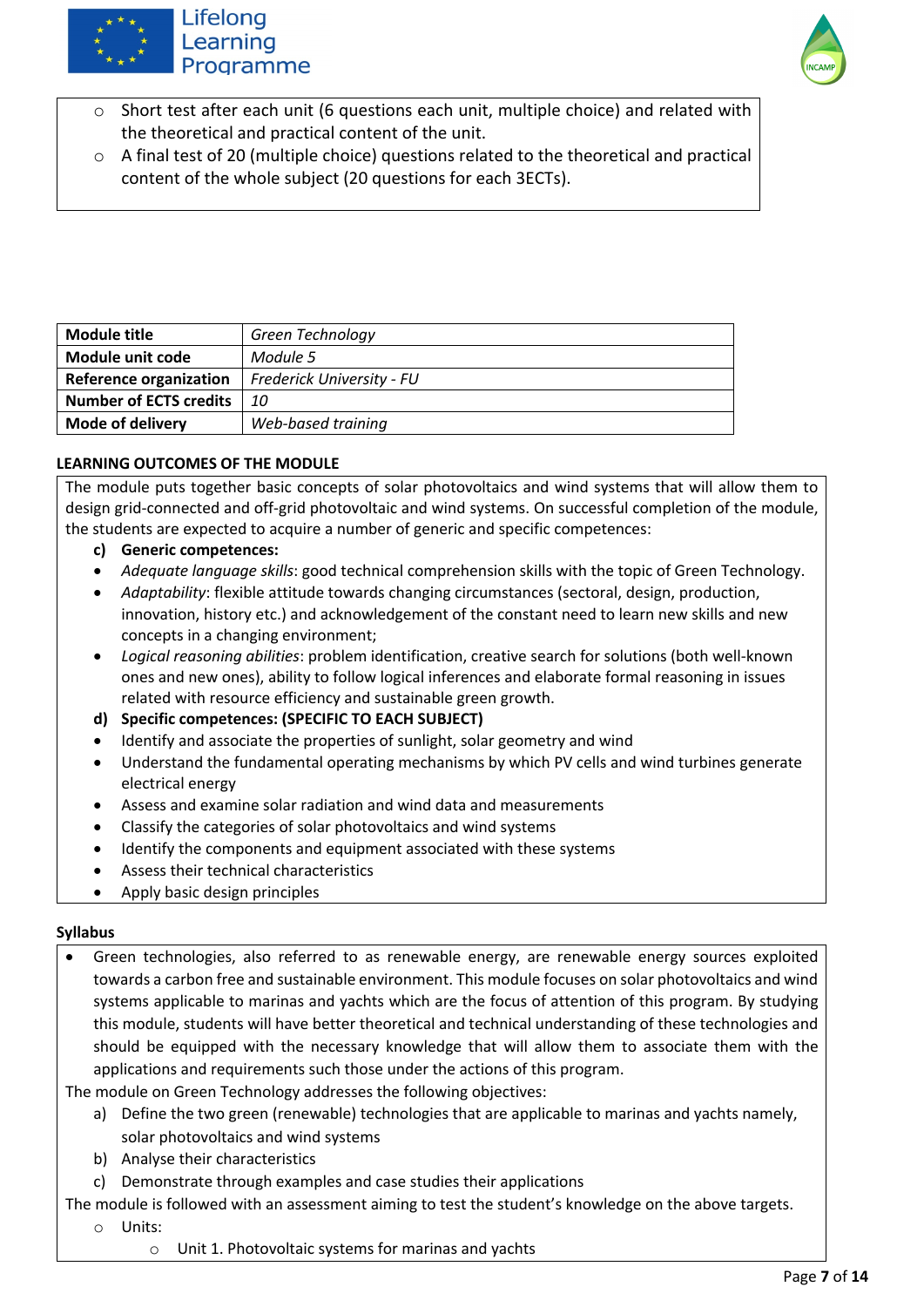

### Lifelong Learning Programme



- o Short test after each unit (6 questions each unit, multiple choice) and related with the theoretical and practical content of the unit.
- $\circ$  A final test of 20 (multiple choice) questions related to the theoretical and practical content of the whole subject (20 questions for each 3ECTs).

| <b>Module title</b>           | Green Technology          |
|-------------------------------|---------------------------|
| Module unit code              | Module 5                  |
| <b>Reference organization</b> | Frederick University - FU |
| <b>Number of ECTS credits</b> | 10                        |
| <b>Mode of delivery</b>       | Web-based training        |

#### **LEARNING OUTCOMES OF THE MODULE**

The module puts together basic concepts of solar photovoltaics and wind systems that will allow them to design grid-connected and off-grid photovoltaic and wind systems. On successful completion of the module, the students are expected to acquire a number of generic and specific competences:

- **c) Generic competences:**
- *Adequate language skills*: good technical comprehension skills with the topic of Green Technology.
- *Adaptability*: flexible attitude towards changing circumstances (sectoral, design, production, innovation, history etc.) and acknowledgement of the constant need to learn new skills and new concepts in a changing environment;
- *Logical reasoning abilities*: problem identification, creative search for solutions (both well-known ones and new ones), ability to follow logical inferences and elaborate formal reasoning in issues related with resource efficiency and sustainable green growth.
- **d) Specific competences: (SPECIFIC TO EACH SUBJECT)**
- Identify and associate the properties of sunlight, solar geometry and wind
- Understand the fundamental operating mechanisms by which PV cells and wind turbines generate electrical energy
- Assess and examine solar radiation and wind data and measurements
- Classify the categories of solar photovoltaics and wind systems
- Identify the components and equipment associated with these systems
- Assess their technical characteristics
- Apply basic design principles

#### **Syllabus**

• Green technologies, also referred to as renewable energy, are renewable energy sources exploited towards a carbon free and sustainable environment. This module focuses on solar photovoltaics and wind systems applicable to marinas and yachts which are the focus of attention of this program. By studying this module, students will have better theoretical and technical understanding of these technologies and should be equipped with the necessary knowledge that will allow them to associate them with the applications and requirements such those under the actions of this program.

The module on Green Technology addresses the following objectives:

- a) Define the two green (renewable) technologies that are applicable to marinas and yachts namely, solar photovoltaics and wind systems
- b) Analyse their characteristics
- c) Demonstrate through examples and case studies their applications

The module is followed with an assessment aiming to test the student's knowledge on the above targets.

- o Units:
	- o Unit 1. Photovoltaic systems for marinas and yachts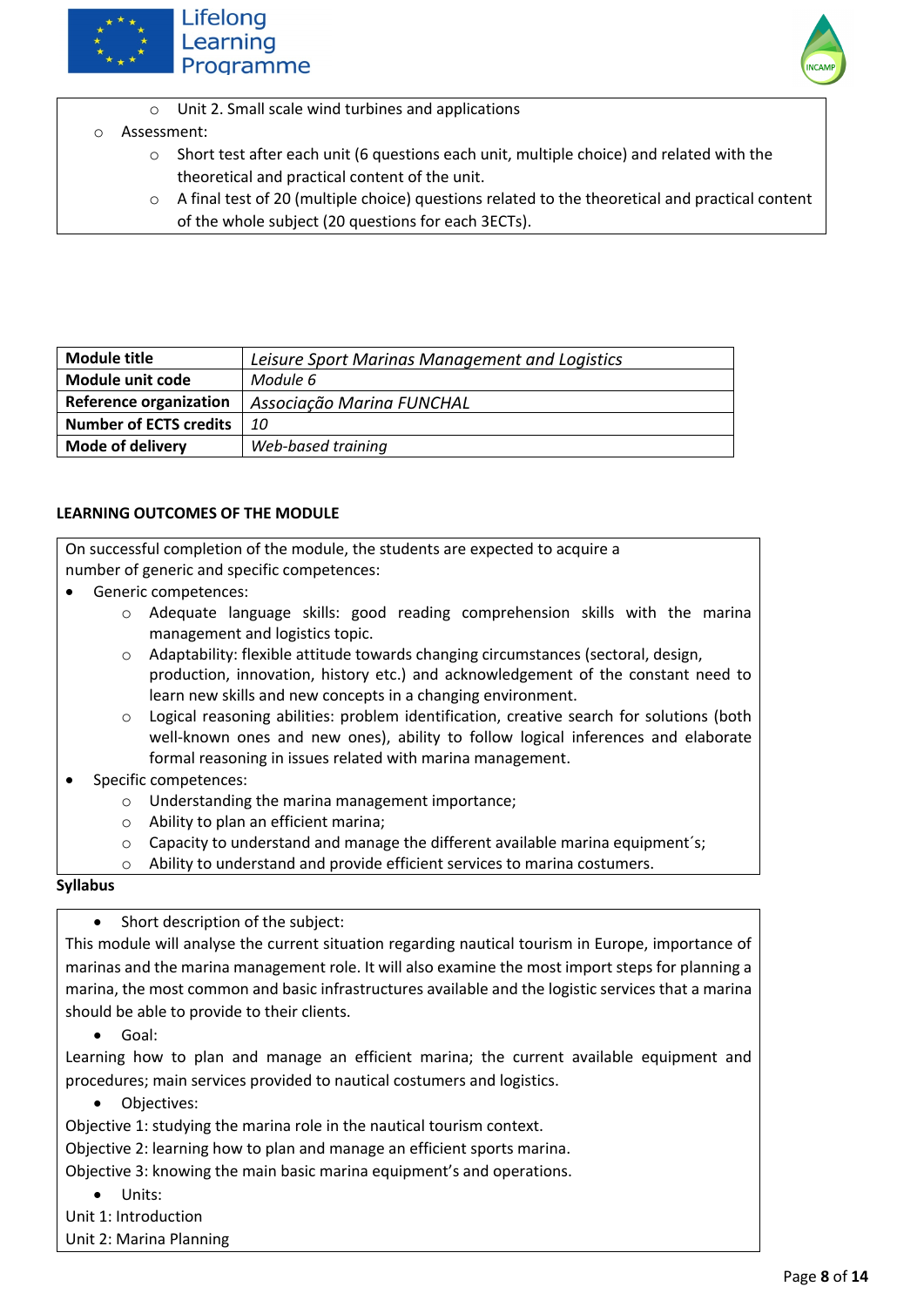





#### o Assessment:

- $\circ$  Short test after each unit (6 questions each unit, multiple choice) and related with the theoretical and practical content of the unit.
- o A final test of 20 (multiple choice) questions related to the theoretical and practical content of the whole subject (20 questions for each 3ECTs).

| Module title                  | Leisure Sport Marinas Management and Logistics |
|-------------------------------|------------------------------------------------|
| Module unit code              | Module 6                                       |
| <b>Reference organization</b> | Associação Marina FUNCHAL                      |
| <b>Number of ECTS credits</b> | 10                                             |
| <b>Mode of delivery</b>       | Web-based training                             |

#### **LEARNING OUTCOMES OF THE MODULE**

On successful completion of the module, the students are expected to acquire a number of generic and specific competences:

- Generic competences:
	- o Adequate language skills: good reading comprehension skills with the marina management and logistics topic.
	- o Adaptability: flexible attitude towards changing circumstances (sectoral, design, production, innovation, history etc.) and acknowledgement of the constant need to learn new skills and new concepts in a changing environment.
	- o Logical reasoning abilities: problem identification, creative search for solutions (both well-known ones and new ones), ability to follow logical inferences and elaborate formal reasoning in issues related with marina management.
- Specific competences:
	- o Understanding the marina management importance;
	- o Ability to plan an efficient marina;
	- $\circ$  Capacity to understand and manage the different available marina equipment's;
	- o Ability to understand and provide efficient services to marina costumers.

#### **Syllabus**

Short description of the subject:

This module will analyse the current situation regarding nautical tourism in Europe, importance of marinas and the marina management role. It will also examine the most import steps for planning a marina, the most common and basic infrastructures available and the logistic services that a marina should be able to provide to their clients.

• Goal:

Learning how to plan and manage an efficient marina; the current available equipment and procedures; main services provided to nautical costumers and logistics.

Objectives:

Objective 1: studying the marina role in the nautical tourism context.

Objective 2: learning how to plan and manage an efficient sports marina.

Objective 3: knowing the main basic marina equipment's and operations.

- Units:
- Unit 1: Introduction

Unit 2: Marina Planning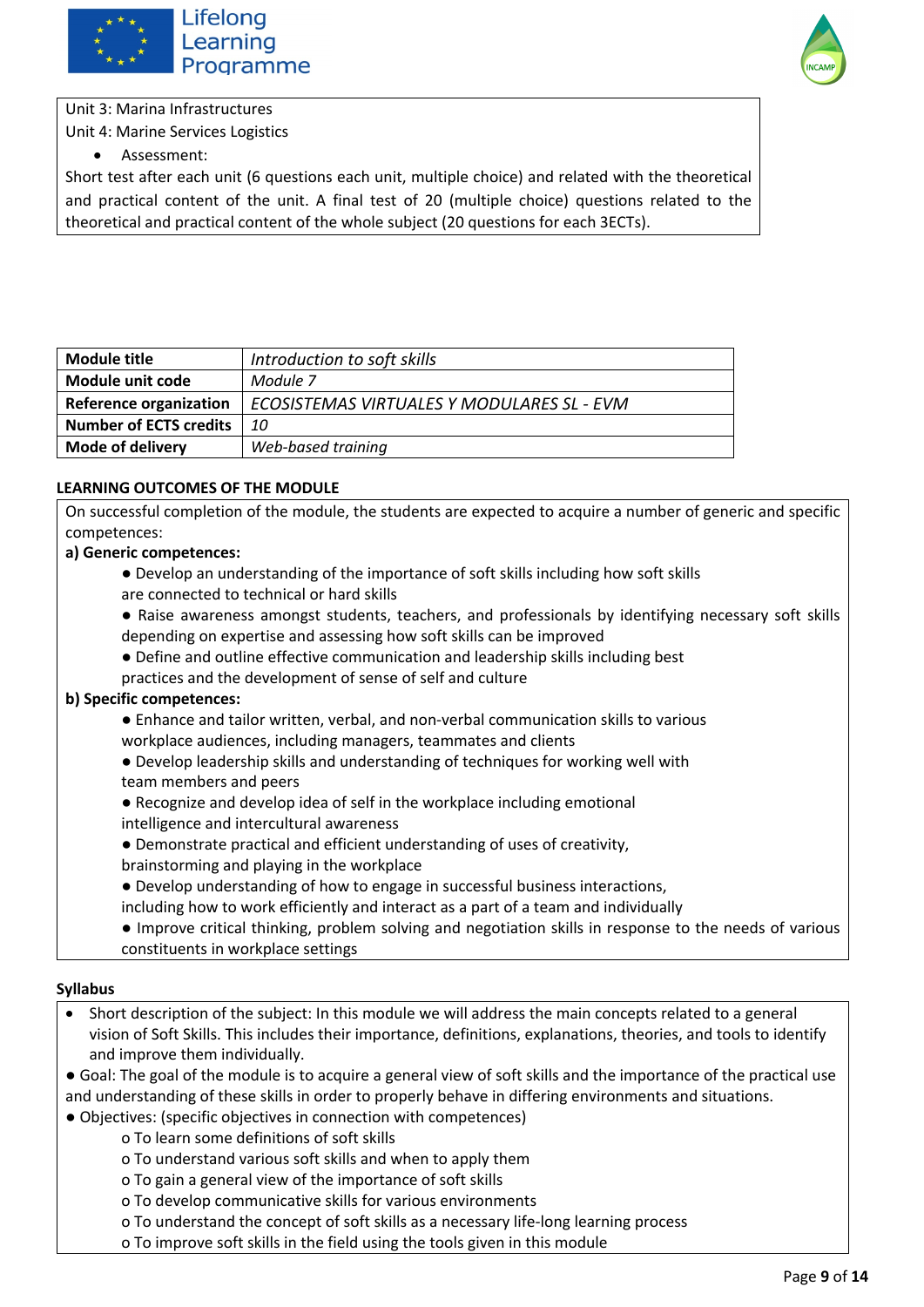



Unit 3: Marina Infrastructures Unit 4: Marine Services Logistics

• Assessment:

Short test after each unit (6 questions each unit, multiple choice) and related with the theoretical and practical content of the unit. A final test of 20 (multiple choice) questions related to the theoretical and practical content of the whole subject (20 questions for each 3ECTs).

| Module title                  | Introduction to soft skills                |
|-------------------------------|--------------------------------------------|
| <b>Module unit code</b>       | Module 7                                   |
| <b>Reference organization</b> | ECOSISTEMAS VIRTUALES Y MODULARES SL - EVM |
| <b>Number of ECTS credits</b> | 10                                         |
| <b>Mode of delivery</b>       | Web-based training                         |

#### **LEARNING OUTCOMES OF THE MODULE**

On successful completion of the module, the students are expected to acquire a number of generic and specific competences:

#### **a) Generic competences:**

- Develop an understanding of the importance of soft skills including how soft skills are connected to technical or hard skills
- Raise awareness amongst students, teachers, and professionals by identifying necessary soft skills depending on expertise and assessing how soft skills can be improved
- Define and outline effective communication and leadership skills including best
- practices and the development of sense of self and culture

#### **b) Specific competences:**

- Enhance and tailor written, verbal, and non-verbal communication skills to various workplace audiences, including managers, teammates and clients
- Develop leadership skills and understanding of techniques for working well with team members and peers
- Recognize and develop idea of self in the workplace including emotional intelligence and intercultural awareness
- Demonstrate practical and efficient understanding of uses of creativity,
- brainstorming and playing in the workplace
- Develop understanding of how to engage in successful business interactions,
- including how to work efficiently and interact as a part of a team and individually
- Improve critical thinking, problem solving and negotiation skills in response to the needs of various constituents in workplace settings

- Short description of the subject: In this module we will address the main concepts related to a general vision of Soft Skills. This includes their importance, definitions, explanations, theories, and tools to identify and improve them individually.
- Goal: The goal of the module is to acquire a general view of soft skills and the importance of the practical use and understanding of these skills in order to properly behave in differing environments and situations.
- Objectives: (specific objectives in connection with competences)
	- o To learn some definitions of soft skills
	- o To understand various soft skills and when to apply them
	- o To gain a general view of the importance of soft skills
	- o To develop communicative skills for various environments
	- o To understand the concept of soft skills as a necessary life-long learning process
	- o To improve soft skills in the field using the tools given in this module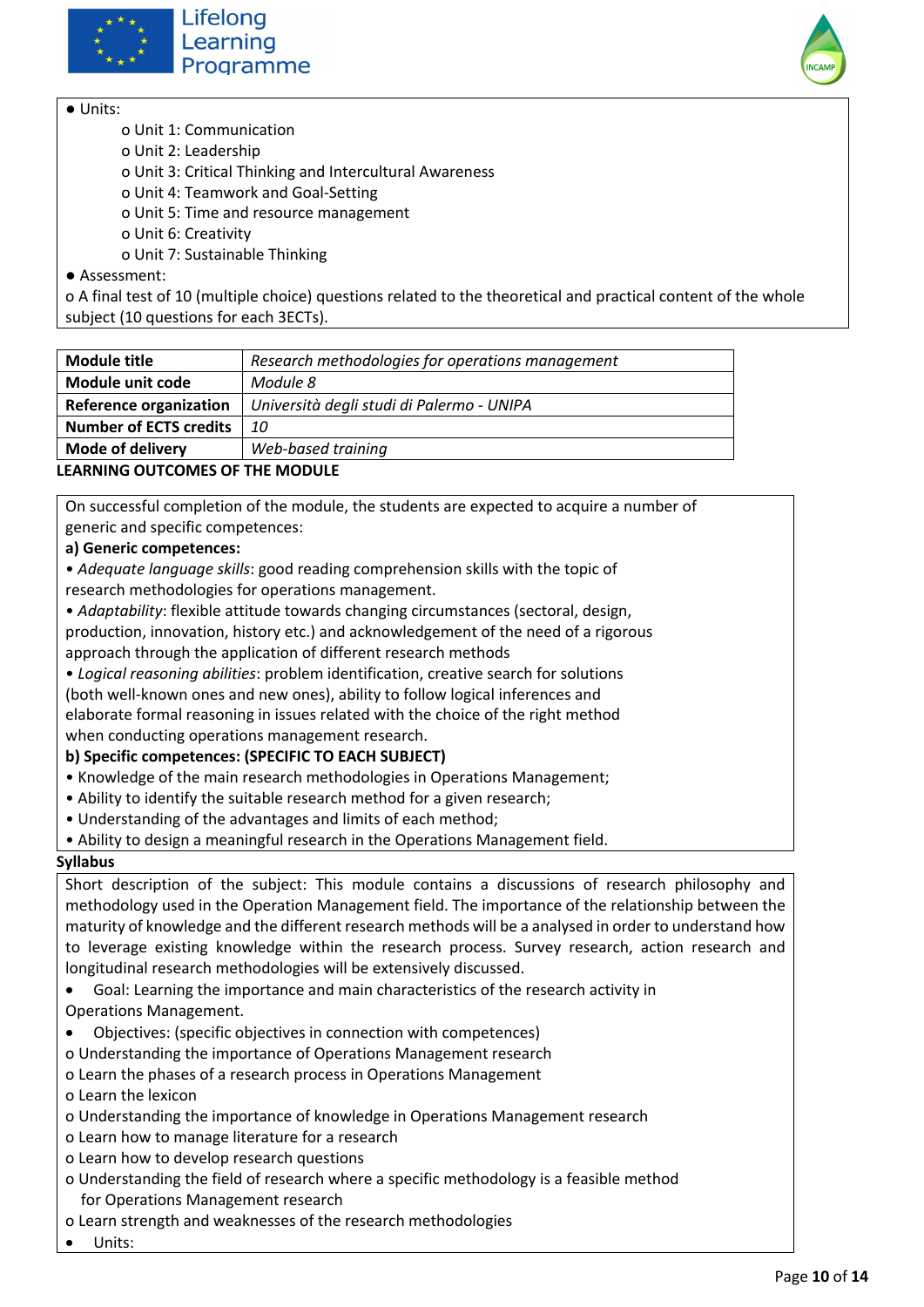





● Units:

- o Unit 1: Communication
- o Unit 2: Leadership
- o Unit 3: Critical Thinking and Intercultural Awareness
- o Unit 4: Teamwork and Goal-Setting
- o Unit 5: Time and resource management
- o Unit 6: Creativity
- o Unit 7: Sustainable Thinking
- Assessment:

o A final test of 10 (multiple choice) questions related to the theoretical and practical content of the whole subject (10 questions for each 3ECTs).

| <b>Module title</b>                     | Research methodologies for operations management |
|-----------------------------------------|--------------------------------------------------|
| Module unit code                        | Module 8                                         |
| <b>Reference organization</b>           | Università degli studi di Palermo - UNIPA        |
| <b>Number of ECTS credits</b>           | 10                                               |
| <b>Mode of delivery</b>                 | Web-based training                               |
| <b>I FARNING OUTCOMES OF THE MODULE</b> |                                                  |

On successful completion of the module, the students are expected to acquire a number of generic and specific competences:

**a) Generic competences:** 

• *Adequate language skills*: good reading comprehension skills with the topic of research methodologies for operations management.

- *Adaptability*: flexible attitude towards changing circumstances (sectoral, design, production, innovation, history etc.) and acknowledgement of the need of a rigorous approach through the application of different research methods
- *Logical reasoning abilities*: problem identification, creative search for solutions (both well-known ones and new ones), ability to follow logical inferences and elaborate formal reasoning in issues related with the choice of the right method when conducting operations management research.

#### **b) Specific competences: (SPECIFIC TO EACH SUBJECT)**

- Knowledge of the main research methodologies in Operations Management;
- Ability to identify the suitable research method for a given research;
- Understanding of the advantages and limits of each method;
- Ability to design a meaningful research in the Operations Management field.

#### **Syllabus**

Short description of the subject: This module contains a discussions of research philosophy and methodology used in the Operation Management field. The importance of the relationship between the maturity of knowledge and the different research methods will be a analysed in order to understand how to leverage existing knowledge within the research process. Survey research, action research and longitudinal research methodologies will be extensively discussed.

- Goal: Learning the importance and main characteristics of the research activity in Operations Management.
- Objectives: (specific objectives in connection with competences)
- o Understanding the importance of Operations Management research
- o Learn the phases of a research process in Operations Management
- o Learn the lexicon
- o Understanding the importance of knowledge in Operations Management research
- o Learn how to manage literature for a research
- o Learn how to develop research questions
- o Understanding the field of research where a specific methodology is a feasible method for Operations Management research
- o Learn strength and weaknesses of the research methodologies
- Units: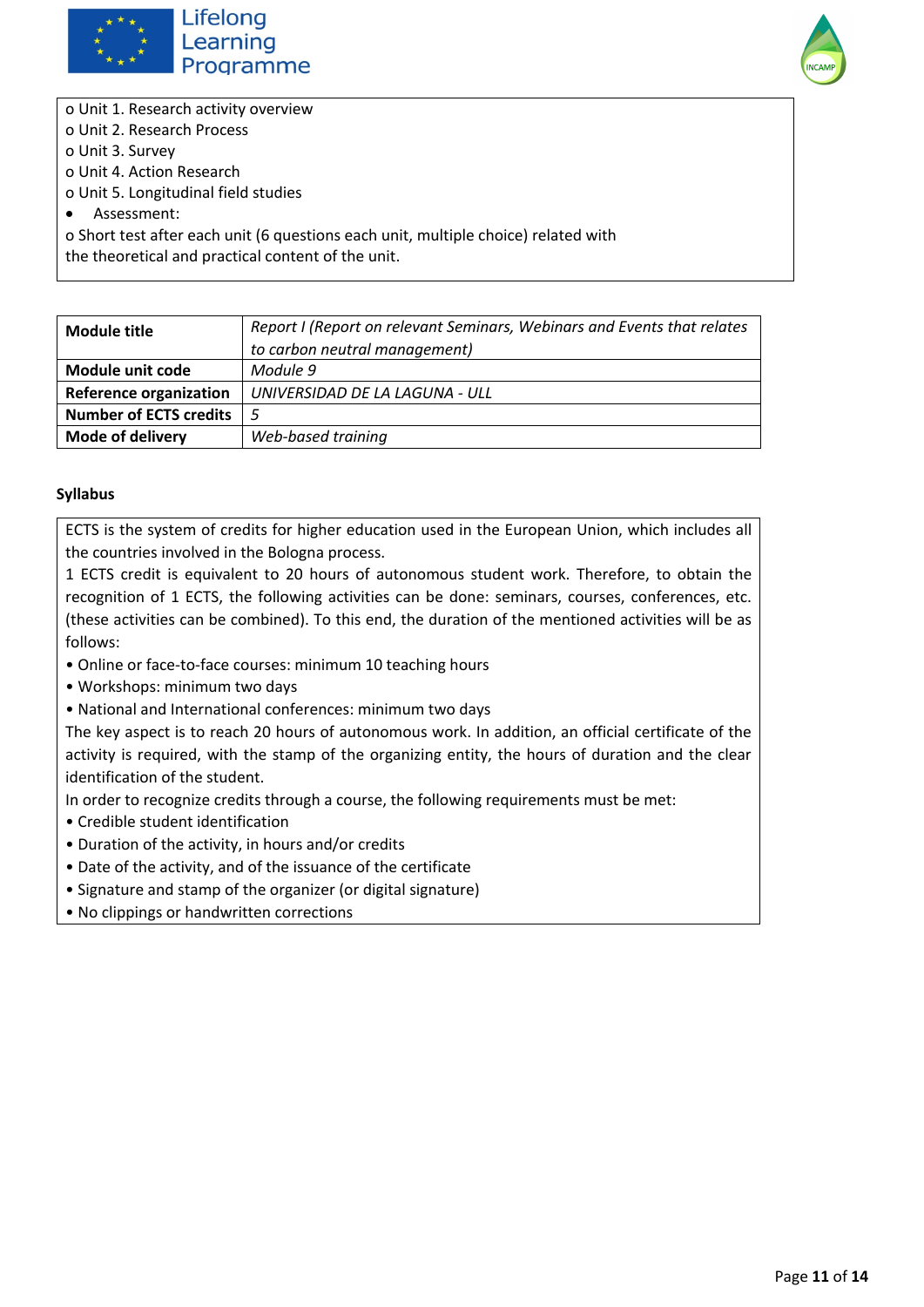



o Unit 1. Research activity overview o Unit 2. Research Process o Unit 3. Survey o Unit 4. Action Research o Unit 5. Longitudinal field studies • Assessment: o Short test after each unit (6 questions each unit, multiple choice) related with the theoretical and practical content of the unit.

| Module title                  | Report I (Report on relevant Seminars, Webinars and Events that relates |
|-------------------------------|-------------------------------------------------------------------------|
|                               | to carbon neutral management)                                           |
| Module unit code              | Module 9                                                                |
| <b>Reference organization</b> | UNIVERSIDAD DE LA LAGUNA - ULL                                          |
| <b>Number of ECTS credits</b> |                                                                         |
| <b>Mode of delivery</b>       | Web-based training                                                      |

#### **Syllabus**

ECTS is the system of credits for higher education used in the European Union, which includes all the countries involved in the Bologna process.

1 ECTS credit is equivalent to 20 hours of autonomous student work. Therefore, to obtain the recognition of 1 ECTS, the following activities can be done: seminars, courses, conferences, etc. (these activities can be combined). To this end, the duration of the mentioned activities will be as follows:

- Online or face-to-face courses: minimum 10 teaching hours
- Workshops: minimum two days
- National and International conferences: minimum two days

The key aspect is to reach 20 hours of autonomous work. In addition, an official certificate of the activity is required, with the stamp of the organizing entity, the hours of duration and the clear identification of the student.

In order to recognize credits through a course, the following requirements must be met:

- Credible student identification
- Duration of the activity, in hours and/or credits
- Date of the activity, and of the issuance of the certificate
- Signature and stamp of the organizer (or digital signature)
- No clippings or handwritten corrections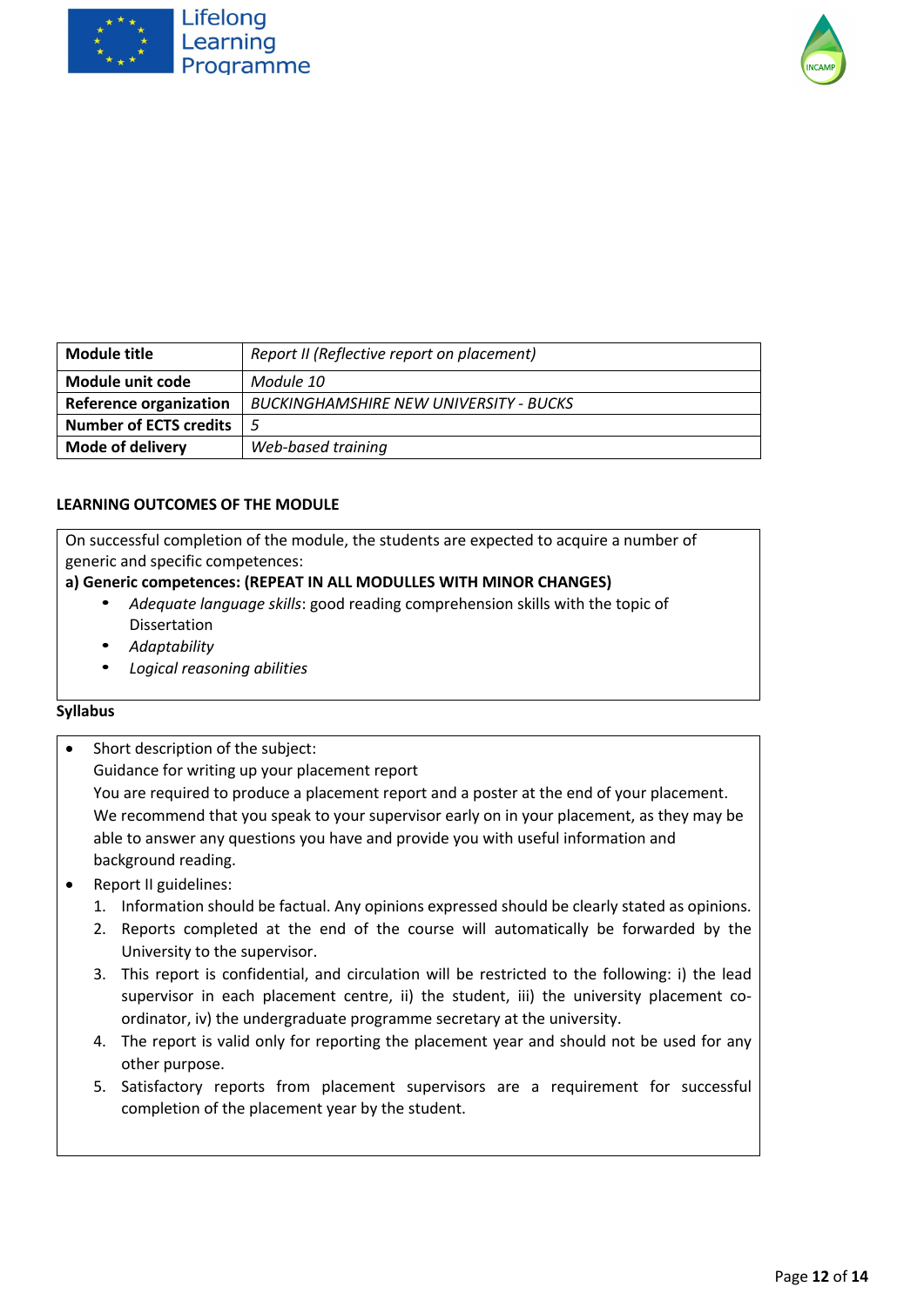



| Module title                  | Report II (Reflective report on placement)    |
|-------------------------------|-----------------------------------------------|
| Module unit code              | Module 10                                     |
| <b>Reference organization</b> | <b>BUCKINGHAMSHIRE NEW UNIVERSITY - BUCKS</b> |
| <b>Number of ECTS credits</b> |                                               |
| <b>Mode of delivery</b>       | Web-based training                            |

On successful completion of the module, the students are expected to acquire a number of generic and specific competences:

#### **a) Generic competences: (REPEAT IN ALL MODULLES WITH MINOR CHANGES)**

- *Adequate language skills*: good reading comprehension skills with the topic of Dissertation
- *Adaptability*
- *Logical reasoning abilities*

- Short description of the subject: Guidance for writing up your placement report You are required to produce a placement report and a poster at the end of your placement. We recommend that you speak to your supervisor early on in your placement, as they may be able to answer any questions you have and provide you with useful information and background reading.
- Report II guidelines:
	- 1. Information should be factual. Any opinions expressed should be clearly stated as opinions.
	- 2. Reports completed at the end of the course will automatically be forwarded by the University to the supervisor.
	- 3. This report is confidential, and circulation will be restricted to the following: i) the lead supervisor in each placement centre, ii) the student, iii) the university placement coordinator, iv) the undergraduate programme secretary at the university.
	- 4. The report is valid only for reporting the placement year and should not be used for any other purpose.
	- 5. Satisfactory reports from placement supervisors are a requirement for successful completion of the placement year by the student.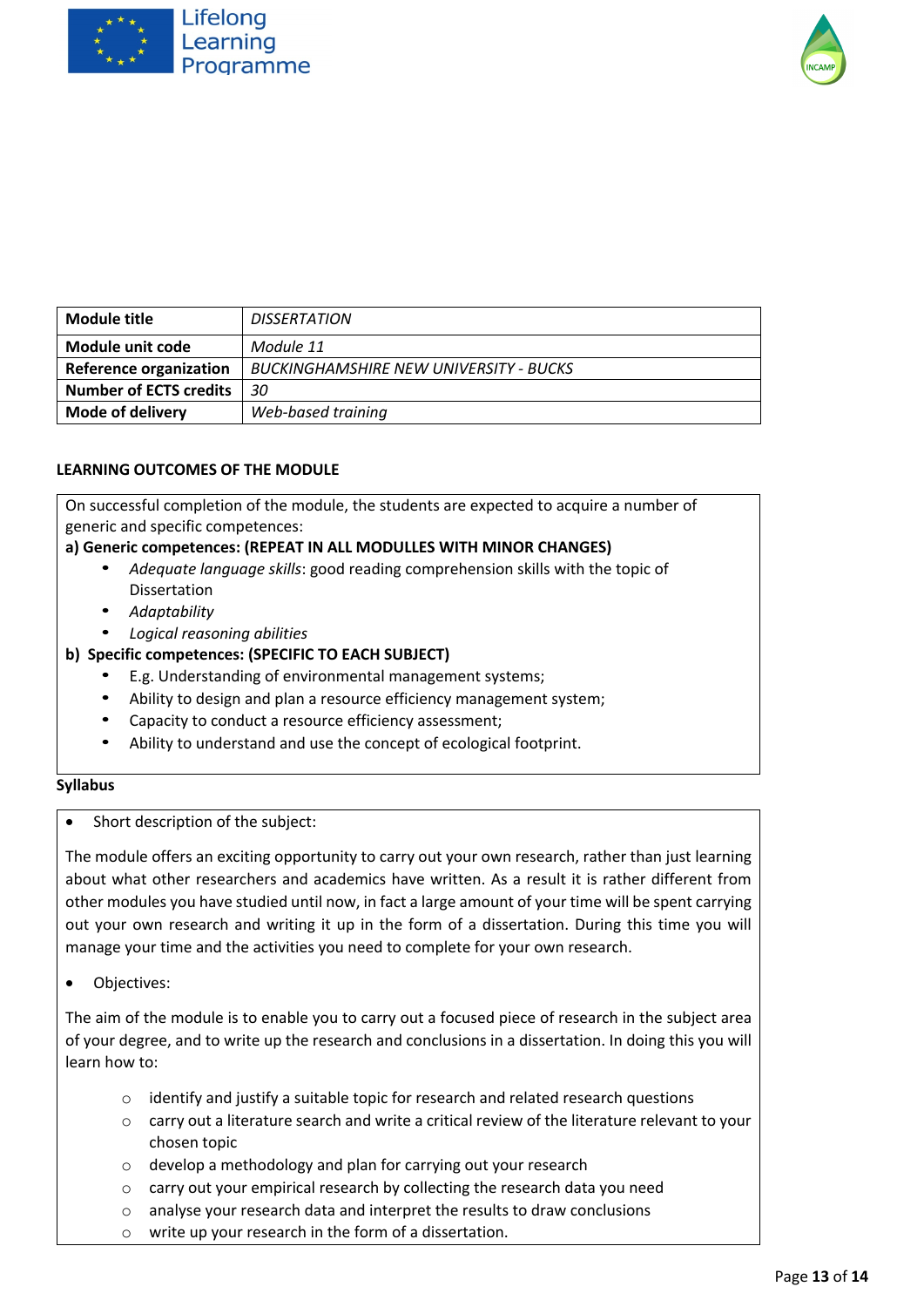



| Module title                  | <b>DISSERTATION</b>                           |
|-------------------------------|-----------------------------------------------|
| Module unit code              | Module 11                                     |
| <b>Reference organization</b> | <b>BUCKINGHAMSHIRE NEW UNIVERSITY - BUCKS</b> |
| <b>Number of ECTS credits</b> | 30                                            |
| <b>Mode of delivery</b>       | Web-based training                            |

On successful completion of the module, the students are expected to acquire a number of generic and specific competences:

#### **a) Generic competences: (REPEAT IN ALL MODULLES WITH MINOR CHANGES)**

- *Adequate language skills*: good reading comprehension skills with the topic of Dissertation
- *Adaptability*
- *Logical reasoning abilities*

#### **b) Specific competences: (SPECIFIC TO EACH SUBJECT)**

- E.g. Understanding of environmental management systems;
- Ability to design and plan a resource efficiency management system;
- Capacity to conduct a resource efficiency assessment;
- Ability to understand and use the concept of ecological footprint.

#### **Syllabus**

• Short description of the subject:

The module offers an exciting opportunity to carry out your own research, rather than just learning about what other researchers and academics have written. As a result it is rather different from other modules you have studied until now, in fact a large amount of your time will be spent carrying out your own research and writing it up in the form of a dissertation. During this time you will manage your time and the activities you need to complete for your own research.

• Objectives:

The aim of the module is to enable you to carry out a focused piece of research in the subject area of your degree, and to write up the research and conclusions in a dissertation. In doing this you will learn how to:

- o identify and justify a suitable topic for research and related research questions
- $\circ$  carry out a literature search and write a critical review of the literature relevant to your chosen topic
- o develop a methodology and plan for carrying out your research
- o carry out your empirical research by collecting the research data you need
- o analyse your research data and interpret the results to draw conclusions
- o write up your research in the form of a dissertation.